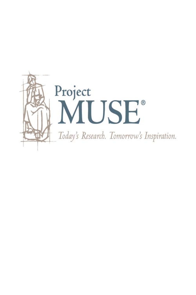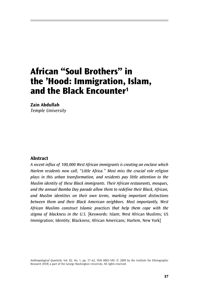# **African "Soul Brothers" in the 'Hood: Immigration, Islam, and the Black Encounter1**

**Zain Abdullah**

*Temple University*

# **Abstract**

*A recent influx of 100,000 West African immigrants is creating an enclave which Harlem residents now call, "Little Africa." Most miss the crucial role religion plays in this urban transformation, and residents pay little attention to the Muslim identity of these Black immigrants. Their African restaurants, mosques, and the annual Bamba Day parade allow them to redefine their Black, African, and Muslim identities on their own terms, marking important distinctions between them and their Black American neighbors. Most importantly, West African Muslims construct Islamic practices that help them cope with the stigma of blackness in the U.S.* [Keywords: Islam; West African Muslims; US Immigration; Identity; Blackness; African Americans; Harlem, New York]

*Anthropological Quarterly,* Vol. 82, No. 1, pp. 37–62, ISSN 0003-549. © 2009 by the Institute for Ethnographic Research (IFER) a part of the George Washington University. All rights reserved.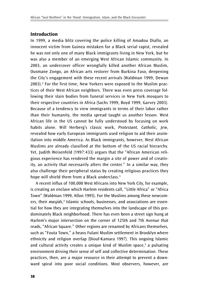## **Introduction**

In 1999, a media blitz covering the police killing of Amadou Diallo, an innocent victim from Guinea mistaken for a Black serial rapist, revealed he was not only one of many Black immigrants living in New York, but he was also a member of an emerging West African Islamic community. In 2003, an undercover officer wrongfully killed another African Muslim, Ousmane Zongo, an African arts restorer from Burkina Faso, deepening the City's engagement with these recent arrivals (Waldman 1999, Dewan 2003).2 For the first time, New Yorkers were exposed to the Muslim practices of their West African neighbors. There was even press coverage following their slain bodies from funeral services in New York mosques to their respective countries in Africa (Sachs 1999, Boyd 1999, Garvey 2003). Because of a tendency to view immigrants in terms of their labor rather than their humanity, the media spread taught us another lesson. West African life in the US cannot be fully understood by focusing on work habits alone. Will Herberg's classic work, *Protestant, Catholic, Jew*, revealed how early European immigrants used religion to aid their assimilation into middle America. As Black immigrants, however, West African Muslims are already classified at the bottom of the US racial hierarchy. Yet, Judith Weisenfeld (1997:433) argues that the "African American religious experience has rendered the margin a site of power and of creativity, an activity that necessarily alters the center." In a similar way, they also challenge their peripheral status by creating religious practices they hope will shield them from a Black underclass.<sup>3</sup>

A recent influx of 100,000 West Africans into New York City, for example, is creating an enclave which Harlem residents call, "Little Africa" or "Africa Town" (Waldman 1999, Allon 1995). For the Muslims among these newcomers, their *masjids*,<sup>4</sup> Islamic schools, businesses, and associations are essential for how they are integrating themselves into the landscape of this predominately Black neighborhood. There has even been a street sign hung at Harlem's major intersection on the corner of 125th and 7th Avenue that reads, "African Square." Other regions are renamed by Africans themselves, such as "Fouta Town," a heavy Fulani Muslim settlement in Brooklyn where ethnicity and religion overlap (Diouf-Kamara 1997). This ongoing Islamic and cultural activity creates a unique kind of Muslim space,<sup>5</sup> a pulsating environment driving their sense of self and collective determination. These practices, then, are a major resource in their attempt to prevent a downward spiral into poor social conditions. Most observers, however, are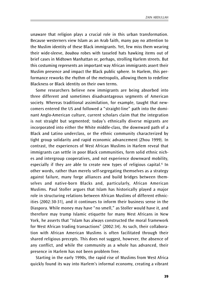unaware that religion plays a crucial role in this urban transformation. Because westerners view Islam as an Arab faith, many pay no attention to the Muslim identity of these Black immigrants. Yet, few miss them wearing their wide-sleeve, *boubou* robes with tasseled hats hawking items out of brief cases in Midtown Manhattan or, perhaps, strolling Harlem streets. But this costuming represents an important way African immigrants assert their Muslim presence and impact the Black public sphere. In Harlem, this performance reworks the rhythm of the metropolis, allowing them to redefine Blackness or Black identity on their own terms.

Some researchers believe new immigrants are being absorbed into three different and sometimes disadvantageous segments of American society. Whereas traditional assimilation, for example, taught that newcomers entered the US and followed a "straight-line" path into the dominant Anglo-American culture, current scholars claim that the integration is not straight but segmented; today's ethnically diverse migrants are incorporated into either the White middle-class, the downward path of a Black and Latino underclass, or the ethnic community characterized by tight group solidarity and rapid economic advancement (Zhou 1999). In contrast, the experiences of West African Muslims in Harlem reveal that immigrants can settle in poor Black communities, form solid ethnic niches and intergroup cooperatives, and not experience downward mobility, especially if they are able to create new types of religious capital.<sup>6</sup> In other words, rather than merely self-segregating themselves as a strategy against failure, many forge alliances and build bridges between themselves and native-born Blacks and, particularly, African American Muslims. Paul Stoller argues that Islam has historically played a major role in structuring relations between African Muslims of different ethnicities (2002:30-31), and it continues to inform their business sense in the Diaspora. While money may have "no smell," as Stoller would have it, and therefore may trump Islamic etiquette for many West Africans in New York, he asserts that "Islam has always constructed the moral framework for West African trading transactions" (2002:34). As such, their collaboration with African American Muslims is often facilitated through their shared religious precepts. This does not suggest, however, the absence of any conflict, and while the community as a whole has advanced, their presence in Harlem has not been problem free.

Starting in the early 1990s, the rapid rise of Muslims from West Africa quickly found its way into Harlem's informal economy, creating a vibrant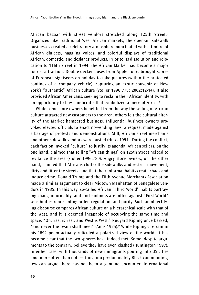African bazaar with street vendors stretched along 125th Street.<sup>7</sup> Organized like traditional West African markets, the open-air sidewalk businesses created a celebratory atmosphere punctuated with a timbre of African dialects, haggling voices, and colorful displays of traditional African, domestic, and designer products. Prior to its dissolution and relocation to 116th Street in 1994, the African Market had become a major tourist attraction. Double-decker buses from Apple Tours brought scores of European sightseers on holiday to take pictures (within the protected confines of a company vehicle), capturing an exotic souvenir of New York's "authentic" African culture (Stoller 1996:778; 2002:12-14). It also provided African Americans, seeking to reclaim their African identity, with an opportunity to buy handicrafts that symbolized a piece of Africa.<sup>8</sup>

While some store owners benefited from the way the selling of African culture attracted new customers to the area, others felt the cultural alterity of the Market hampered business. Influential business owners provoked elected officials to enact no-vending laws, a request made against a barrage of protests and demonstrations. Still, African street merchants and other sidewalk vendors were ousted (Hicks 1994). During the conflict, each faction invoked "culture" to justify its agenda. African sellers, on the one hand, claimed that selling "African things" on 125th Street helped to revitalize the area (Stoller 1996:780). Angry store owners, on the other hand, claimed that Africans clutter the sidewalks and restrict movement, dirty and litter the streets, and that their informal habits create chaos and induce crime. Donald Trump and the Fifth Avenue Merchants Association made a similar argument to clear Midtown Manhattan of Senegalese vendors in 1985. In this way, so-called African "Third World" habits portraying chaos, informality, and uncleanliness are pitted against "First World" sensibilities representing order, regulation, and purity. Such an objectifying discourse compares African culture on a hierarchical scale with that of the West, and it is deemed incapable of occupying the same time and space. "Oh, East is East, and West is West," Rudyard Kipling once barked, "and never the twain shall meet" (Amis 1975).<sup>9</sup> While Kipling's refrain in his 1892 poem actually ridiculed a polarized view of the world, it has become clear that the two spheres have indeed met. Some, despite arguments to the contrary, believe they have even clashed (Huntington 1997). In either case, with thousands of new immigrants pouring into US cities and, more often than not, settling into predominately Black communities, few can argue there has not been a genuine encounter. International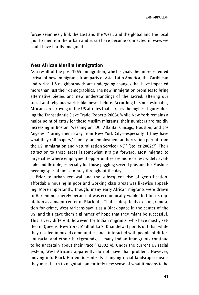forces seamlessly link the East and the West, and the global and the local (not to mention the urban and rural) have become connected in ways we could have hardly imagined.

## **West African Muslim Immigration**

As a result of the post-1965 immigration, which signals the unprecedented arrival of new immigrants from parts of Asia, Latin America, the Caribbean and Africa, US neighborhoods are undergoing changes that have impacted more than just their demographics. The new immigration promises to bring alternative pieties and new understandings of the sacred, altering our social and religious worlds like never before. According to some estimates, Africans are arriving in the US at rates that surpass the highest figures during the Transatlantic Slave Trade (Roberts 2005). While New York remains a major point of entry for these Muslim migrants, their numbers are rapidly increasing in Boston, Washington, DC, Atlanta, Chicago, Houston, and Los Angeles, "luring them away from New York City—especially if they have what they call 'papers,' namely, an employment authorization permit from the US Immigration and Naturalization Service (INS)" (Stoller 2002:7). Their attraction to these areas is somewhat straight forward. Most migrate to large cities where employment opportunities are more or less widely available and flexible, especially for those juggling several jobs and for Muslims needing special times to pray throughout the day.

Prior to urban renewal and the subsequent rise of gentrification, affordable housing in poor and working class areas was likewise appealing. More importantly, though, many early African migrants were drawn to Harlem not merely because it was economically viable, but for its reputation as a major center of Black life. That is, despite its existing reputation for crime, West Africans saw it as a Black space in the center of the US, and this gave them a glimmer of hope that they might be successful. This is very different, however, for Indian migrants, who have mostly settled in Queens, New York. Madhulika S. Khandelwal points out that while they resided in mixed communities and "interacted with people of different racial and ethnic backgrounds, …many Indian immigrants continue to be uncertain about their 'race'" (2002:4). Under the current US racial system, West Africans apparently do not have that problem. However, moving into Black Harlem (despite its changing racial landscape) means they must learn to negotiate an entirely new sense of what it means to be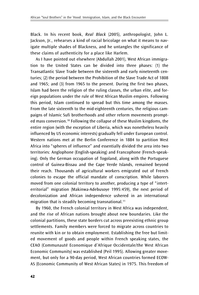Black. In his recent book, *Real Black* (2005), anthropologist, John L. Jackson, Jr., rehearses a kind of racial bricolage on what it means to navigate multiple shades of Blackness, and he untangles the significance of these claims of authenticity for a place like Harlem.

As I have pointed out elsewhere (Abdullah 2001), West African immigration to the United States can be divided into three phases: (1) the Transatlantic Slave Trade between the sixteenth and early nineteenth centuries; (2) the period between the Prohibition of the Slave Trade Act of 1808 and 1965; and (3) from 1965 to the present. During the first two phases, Islam had been the religion of the ruling classes, the urban elite, and foreign populations under the rule of West African Muslim empires. Following this period, Islam continued to spread but this time among the masses. From the late sixteenth to the mid-eighteenth centuries, the religious campaigns of Islamic Sufi brotherhoods and other reform movements prompted mass conversion.10 Following the collapse of these Muslim kingdoms, the entire region (with the exception of Liberia, which was nonetheless heavily influenced by US economic interests) gradually fell under European control. Western nations met at the Berlin Conference in 1884 to partition West Africa into "spheres of influence" and essentially divided the area into two territories: Anglophone (English-speaking) and Francophone (French-speaking). Only the German occupation of Togoland, along with the Portuguese control of Guinea-Bissau and the Cape Verde Islands, remained beyond their reach. Thousands of agricultural workers emigrated out of French colonies to escape the official mandate of conscription. While laborers moved from one colonial territory to another, producing a type of "interterritorial" migration (Makinwa-Adebusoye 1995:459), the next period of decolonization and African independence ushered in an international migration that is steadily becoming transnational.<sup>11</sup>

By 1960, the French colonial territory in West Africa was independent, and the rise of African nations brought about new boundaries. Like the colonial partitions, these state borders cut across preexisting ethnic group settlements. Family members were forced to migrate across countries to reunite with kin or to obtain employment. Establishing the free but limited movement of goods and people within French speaking states, the CEAO (Communauté Economique d'Afrique Occidentale/the West African Economic Community) was established (Peil 1995). Allowing greater movement, but only for a 90-day period, West African countries formed ECOW-AS (Economic Community of West African States) in 1975. This freedom of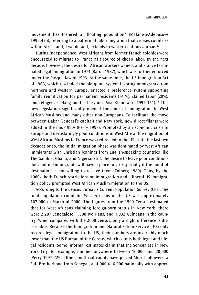movement has fostered a "floating population" (Makinwa-Adebusoye 1995:435), referring to a pattern of labor migration that crosses countries within Africa and, I would add, extends to western nations abroad.<sup>12</sup>

During independence, West Africans from former French colonies were encouraged to migrate to France as a source of cheap labor. By the next decade, however, the desire for African workers waned, and France terminated legal immigration in 1974 (Barou 1987), which was further enforced under the Pasqua law of 1993. At the same time, the US Immigration Act of 1965, which rescinded the old quota system favoring immigrants from northern and western Europe, enacted a preference system supporting family reunification for permanent residents (74 %), skilled labor (20%), and refugees seeking political asylum  $(6%)$  (Kleniewski 1997:151).<sup>13</sup> This new legislation significantly opened the door of immigration to West African Muslims and many other non-Europeans. To facilitate the move between Dakar (Senegal's capital) and New York, new direct flights were added in the mid-1980s (Perry 1997). Prompted by an economic crisis in Europe and devastatingly poor conditions in West Africa, the migration of West African Muslims to France was redirected to the US. Until the last two decades or so, the initial migration phase was dominated by West African immigrants with Christian leanings from English-speaking countries like The Gambia, Ghana, and Nigeria. Still, the desire to leave poor conditions does not mean migrants will have a place to go, especially if the point of destination is not willing to receive them (Zolberg 1989). Thus, by the 1980s, both French restrictions on immigration and a liberal US immigration policy prompted West African Muslim migration to the US.

According to the Census Bureau's Current Population Survey (CPS), the total population count for West Africans in the US was approximately 167,000 in March of 2000. The figures from the 1990 Census estimated that for West Africans claiming foreign-born status in New York, there were 2,287 Senegalese, 1,388 Ivoirians, and 1,032 Guineans in the country. When compared with the 2000 Census, only a slight difference is discernable. Because the Immigration and Naturalization Service (INS) only records legal immigration to the US, their numbers are invariably much lower than the US Bureau of the Census, which counts both legal and illegal residents. Some informal estimates claim that the Senegalese in New York City, for example, number anywhere between 10,000 and 20,000 (Perry 1997:229). Other unofficial counts have placed Murid followers, a Sufi Brotherhood from Senegal, at 4,000 to 6,000 nationally with approx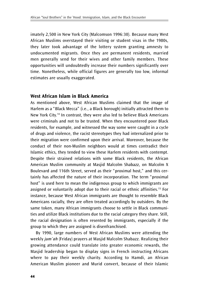imately 2,500 in New York City (Malcomson 1996:30). Because many West African Muslims overstayed their visiting or student visas in the 1980s, they later took advantage of the lottery system granting amnesty to undocumented migrants. Once they are permanent residents, married men generally send for their wives and other family members. These opportunities will undoubtedly increase their numbers significantly over time. Nonetheless, while official figures are generally too low, informal estimates are usually exaggerated.

## **West African Islam in Black America**

As mentioned above, West African Muslims claimed that the image of Harlem as a "Black Mecca" (i.e., a Black borough) initially attracted them to New York City.14 In contrast, they were also led to believe Black Americans were criminals and not to be trusted. When they encountered poor Black residents, for example, and witnessed the way some were caught in a cycle of drugs and violence, the racist stereotypes they had internalized prior to their migration were confirmed upon their arrival. Moreover, because the conduct of their non-Muslim neighbors would at times contradict their Islamic ethics, they tended to view these Harlem residents with contempt. Despite their strained relations with some Black residents, the African American Muslim community at Masjid Malcolm Shabazz, on Malcolm X Boulevard and 116th Street, served as their "proximal host," and this certainly has affected the nature of their incorporation. The term "proximal host" is used here to mean the indigenous group to which immigrants are assigned or voluntarily adopt due to their racial or ethnic affinities.15 For instance, because West African immigrants are thought to resemble Black Americans racially, they are often treated accordingly by outsiders. By the same token, many African immigrants choose to settle in Black communities and utilize Black institutions due to the racial category they share. Still, the racial designation is often resented by immigrants, especially if the group to which they are assigned is disenfranchised.

By 1990, large numbers of West African Muslims were attending the weekly *jum`ah* (Friday) prayers at Masjid Malcolm Shabazz. Realizing their growing attendance could translate into greater economic rewards, the Masjid leadership began to display signs in French instructing Africans where to pay their weekly charity. According to Hamdi, an African American Muslim pioneer and Murid convert, because of their Islamic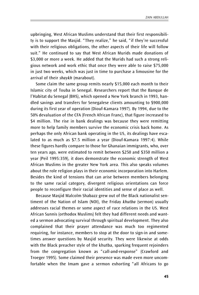upbringing, West African Muslims understand that their first responsibility is to support the Masjid. "They realize," he said, "if they're successful with their religious obligations, the other aspects of their life will follow suit." He continued to say that West African Murids made donations of \$3,000 or more a week. He added that the Murids had such a strong religious network and work ethic that once they were able to raise \$75,000 in just two weeks, which was just in time to purchase a limousine for the arrival of their *shaykh* (marabout).

Some claim the same group remits nearly \$15,000 each month to their Islamic city of Touba in Senegal. Researchers report that the Banque de l'Habitat du Senegal (BHS), which opened a New York branch in 1993, handled savings and transfers for Senegalese clients amounting to \$900,000 during its first year of operation (Diouf-Kamara 1997). By 1994, due to the 50% devaluation of the CFA (French African Franc), that figure increased to \$4 million. The rise in bank dealings was because they were remitting more to help family members survive the economic crisis back home. As perhaps the only African bank operating in the US, its dealings have escalated to as much as \$7.5 million a year (Diouf-Kamara 1997:4). While these figures hardly compare to those for Ghanaian immigrants, who, over ten years ago, were estimated to remit between \$250 and \$350 million a year (Peil 1995:359), it does demonstrate the economic strength of West African Muslims in the greater New York area. This also speaks volumes about the role religion plays in their economic incorporation into Harlem. Besides the kind of tensions that can arise between members belonging to the same racial category, divergent religious orientations can force people to reconfigure their racial identities and sense of place as well.

Because Masjid Malcolm Shabazz grew out of the Black nationalist sentiment of the Nation of Islam (NOI), the Friday *khutba* (sermon) usually addresses racial themes or some aspect of race relations in the US. West African Sunnis (orthodox Muslims) felt they had different needs and wanted a sermon advocating survival through spiritual development. They also complained that their prayer attendance was much too regimented requiring, for instance, members to stop at the door to sign-in and sometimes answer questions by Masjid security. They were likewise at odds with the Black preacher style of the khutba, sparking frequent rejoinders from the congregation known as "call-and-response" (Crawford and Troeger 1995). Some claimed their presence was made even more uncomfortable when the Imam gave a sermon exhorting "all Africans to go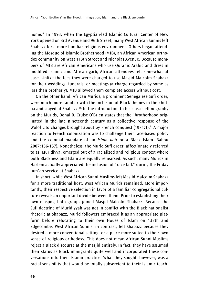home." In 1993, when the Egyptian-led Islamic Cultural Center of New York opened on 3rd Avenue and 96th Street, many West African Sunnis left Shabazz for a more familiar religious environment. Others began attending the Mosque of Islamic Brotherhood (MIB), an African American orthodox community on West 113th Street and Nicholas Avenue. Because members of MIB are African Americans who use Quranic Arabic and dress in modified Islamic and African garb, African attendees felt somewhat at ease. Unlike the fees they were charged to use Masjid Malcolm Shabazz for their weddings, funerals, or meetings (a charge regarded by some as less than brotherly), MIB allowed them complete access without cost.

On the other hand, African Murids, a prominent Senegalese Sufi order, were much more familiar with the inclusion of Black themes in the khutba and stayed at Shabazz.<sup>16</sup> In the introduction to his classic ethnography on the Murids, Donal B. Cruise O'Brien states that the "brotherhood originated in the late nineteenth century as a collective response of the Wolof…to changes brought about by French conquest (1971:1)." A major reaction to French colonization was to challenge their race-based policy and the colonial mandate of an *Islam noir* or a Black Islam (Babou 2007:156-157). Nonetheless, the Murid Sufi order, affectionately referred to as, Muridiyya, emerged out of a racialized and religious context where both Blackness and Islam are equally rehearsed. As such, many Murids in Harlem actually appreciated the inclusion of "race talk" during the Friday jum`ah service at Shabazz.

In short, while West African Sunni Muslims left Masjid Malcolm Shabazz for a more traditional host, West African Murids remained. More importantly, their respective selection in favor of a familiar congregational culture reveals an important divide between them. Prior to establishing their own masjids, both groups joined Masjid Malcolm Shabazz. Because the Sufi doctrine of Muridiyyah was not in conflict with the Black nationalist rhetoric at Shabazz, Murid followers embraced it as an appropriate platform before relocating to their own House of Islam on 137th and Edgecombe. West African Sunnis, in contrast, left Shabazz because they desired a more conventional setting, or a place more suited to their own sense of religious orthodoxy. This does not mean African Sunni Muslims reject a Black discourse at the masjid entirely. In fact, they have assumed their status as Black immigrants quite well and incorporated these conversations into their Islamic practice. What they sought, however, was a racial sensibility that would be totally subservient to their Islamic teach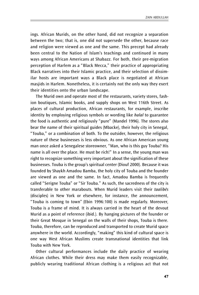ings. African Murids, on the other hand, did not recognize a separation between the two; that is, one did not supersede the other, because race and religion were viewed as one and the same. This precept had already been central to the Nation of Islam's teachings and continued in many ways among African Americans at Shabazz. For both, their pre-migration perception of Harlem as a "Black Mecca," their practice of appropriating Black narratives into their Islamic practice, and their selection of dissimilar hosts are important ways a Black place is negotiated at African masjids in Harlem. Nonetheless, it is certainly not the only way they exert their identities onto the urban landscape.

The Murid own and operate most of the restaurants, variety stores, fashion boutiques, Islamic books, and supply shops on West 116th Street. As places of cultural production, African restaurants, for example, inscribe identity by employing religious symbols or wording like *halal* to guarantee the food is authentic and religiously "pure" (Mandel 1996). The stores also bear the name of their spiritual guides (Mbacke), their holy city in Senegal, "Touba," or a combination of both. To the outsider, however, the religious nature of these businesses is less obvious. As one African American young man once asked a Senegalese storeowner, "Man, who is this guy Touba? His name is all over the place. He must be rich!" In a sense, the young man was right to recognize something very important about the signification of these businesses. Touba is the group's spiritual center (Diouf 2000). Because it was founded by Shaykh Amadou Bamba, the holy city of Touba and the founder are viewed as one and the same. In fact, Amadou Bamba is frequently called "Serigne Touba" or "Sir Touba." As such, the sacredness of the city is transferable to other marabouts. When Murid leaders visit their *taalibés* (disciples) in New York or elsewhere, for instance, the announcement, "Touba is coming to town" (Ebin 1996:100) is made regularly. Moreover, Touba is a frame of mind. It is always carried in the heart of the devout Murid as a point of reference (ibid.). By hanging pictures of the founder or their Great Mosque in Senegal on the walls of their shops, Touba is there. Touba, therefore, can be reproduced and transported to create Murid space anywhere in the world. Accordingly, "making" this kind of cultural space is one way West African Muslims create transnational identities that link Touba with New York.

Other cultural performances include the daily practice of wearing African clothes. While their dress may make them easily recognizable, publicly wearing traditional African clothing is a religious act that not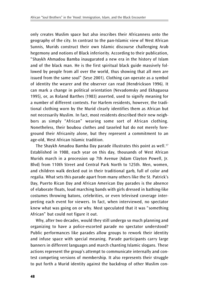only creates Muslim space but also inscribes their Africanness onto the geography of the city. In contrast to the pan-Islamic view of West African Sunnis, Murids construct their own Islamic discourse challenging Arab hegemony and notions of Black inferiority. According to their publication, "Shaykh Ahmadou Bamba inaugurated a new era in the history of Islam and of the black man. He is the first spiritual black guide massively followed by people from all over the world, thus showing that all men are issued from the same soul" (Seye 2001). Clothing can operate as a symbol of identity the wearer and the observer can read (Hendrickson 1996). It can mark a change in political orientation (Nevadomsky and Ekhaguosa 1995), or, as Roland Barthes (1983) asserted, used to signify meaning for a number of different contexts. For Harlem residents, however, the traditional clothing worn by the Murid clearly identifies them as African but not necessarily Muslim. In fact, most residents described their new neighbors as simply "African" wearing some sort of African clothing. Nonetheless, their boubou clothes and tasseled hat do not merely foreground their Africanity alone, but they represent a commitment to an age-old, West African Islamic tradition.

The Shaykh Amadou Bamba Day parade illustrates this point as well.<sup>17</sup> Established in 1988, each year on this day, thousands of West African Murids march in a procession up 7th Avenue (Adam Clayton Powell, Jr. Blvd) from 110th Street and Central Park North to 125th. Men, women, and children walk decked out in their traditional garb, full of color and regalia. What sets this parade apart from many others like the St. Patrick's Day, Puerto Rican Day and African American Day parades is the absence of elaborate floats, loud marching bands with girls dressed in bathing-like costumes throwing batons, celebrities, or even televised coverage interpreting each event for viewers. In fact, when interviewed, no spectator knew what was going on or why. Most speculated that it was "something African" but could not figure it out.

Why, after two decades, would they still undergo so much planning and organizing to have a police-escorted parade no spectator understood? Public performances like parades allow groups to rework their identity and infuse space with special meaning. Parade participants carry large banners in different languages and march chanting Islamic slogans. These actions represent the group's attempt to communicate internally and contest competing versions of membership. It also represents their struggle to put forth a Murid identity against the backdrop of other Muslim con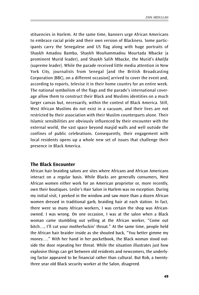stituencies in Harlem. At the same time, banners urge African Americans to embrace racial pride and their own version of Blackness. Some participants carry the Senegalese and US flag along with huge portraits of Shaykh Amadou Bamba, Shaykh Mouhammadou Mourtada Mbacke (a prominent Murid leader), and Shaykh Salih Mbacke, the Murid's *khalifa* (supreme leader). While the parade received little media attention in New York City, journalists from Senegal [and the British Broadcasting Corporation (BBC), on a different occasion] arrived to cover the event and, according to reports, televise it in their home country for an entire week. The national symbolism of the flags and the parade's international coverage allow them to construct their Black and Muslims identities on a much larger canvas but, necessarily, within the context of Black America. Still, West African Muslims do not exist in a vacuum, and their lives are not restricted by their association with their Muslim counterparts alone. Their Islamic sensibilities are obviously influenced by their encounter with the external world, the vast space beyond masjid walls and well outside the confines of public celebrations. Consequently, their engagement with local residents opens up a whole new set of issues that challenge their presence in Black America.

## **The Black Encounter**

African hair braiding salons are sites where Africans and African Americans interact on a regular basis. While Blacks are generally consumers, West African women either work for an American proprietor or, more recently, own their boutiques. Leslie's Hair Salon in Harlem was no exception. During my initial visit, I peeked in the window and saw more than a dozen African women dressed in traditional garb, braiding hair at each station. In fact, there were so many African workers, I was certain the shop was Africanowned. I was wrong. On one occasion, I was at the salon when a Black woman came stumbling out yelling at the African worker, "Come out bitch…, I'll cut your motherfuckin' throat." At the same time, people held the African hair braider inside as she shouted back, "You better gimme my money…." With her hand in her pocketbook, the Black woman stood outside the door repeating her threat. While the situation illustrates just how explosive things can get between old residents and newcomers, the underlying factor appeared to be financial rather than cultural. But Rob, a twentythree year old Black security worker at the Salon, disagreed.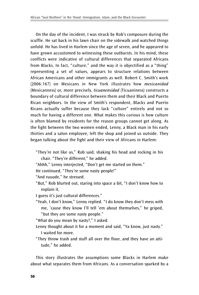On the day of the incident, I was struck by Rob's composure during the scuffle. He sat back in his lawn chair on the sidewalk and watched things unfold. He has lived in Harlem since the age of seven, and he appeared to have grown accustomed to witnessing these outbursts. In his mind, these conflicts were indicative of cultural differences that separated Africans from Blacks. In fact, "culture," and the way it is objectified as a "thing" representing a set of values, appears to structure relations between African Americans and other immigrants as well. Robert C. Smith's work (2006:167) on Mexicans in New York illustrates how *mexicanidad* (Mexicanness) or, more precisely, *ticuanensidad* (Ticuaniness) constructs a boundary of cultural difference between them and their Black and Puerto Rican neighbors. In the view of Smith's respondent, Blacks and Puerto Ricans actually suffer because they lack "culture" entirely and not so much for having a different one. What makes this curious is how culture is often blamed by residents for the reason groups cannot get along. As the fight between the two women ended, Lenny, a Black man in his early thirties and a salon employee, left the shop and joined us outside. They began talking about the fight and their view of Africans in Harlem:

- "They're not like us," Rob said, shaking his head and rocking in his chair. "They're different," he added.
- "Ahhh," Lenny interjected, "Don't get me started on them."
- He continued, "They're some nasty people!"

"And ruuude," he stressed.

- "But," Rob blurted out, staring into space a bit, "I don't know how to explain it,
- I guess it's just cultural differences."
- "Yeah, I don't know," Lenny replied. "I do know they don't mess with me, 'cause they know I'll tell 'em about themselves," he griped, "but they are some nasty people."

"What do you mean by nasty?," I asked.

- Lenny thought about it for a moment and said, "Ya know, just nasty." I waited for more.
- "They throw trash and stuff all over the floor, and they have an attitude," he added.

This story illustrates the assumptions some Blacks in Harlem make about what separates them from Africans. As a conversation sparked by a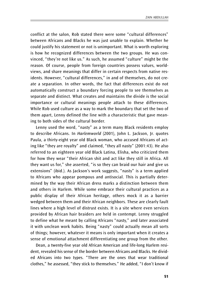conflict at the salon, Rob stated there were some "cultural differences" between Africans and Blacks he was just unable to explain. Whether he could justify his statement or not is unimportant. What is worth exploring is how he recognized differences between the two groups. He was convinced, "they're not like us." As such, he assumed "culture" might be the reason. Of course, people from foreign countries possess values, worldviews, and share meanings that differ in certain respects from native residents. However, "cultural differences," in and of themselves, do not create a separation. In other words, the fact that differences exist do not automatically construct a boundary forcing people to see themselves as separate and distinct. What creates and maintains the divide is the social importance or cultural meanings people attach to these differences. While Rob used culture as a way to mark the boundary that set the two of them apart, Lenny defined the line with a characteristic that gave meaning to both sides of the cultural border.

Lenny used the word, "nasty" as a term many Black residents employ to describe Africans. In *Harlemworld* (2001), John L. Jackson, Jr. quotes Paula, a thirty-eight year old Black woman, who accused Africans of acting like "they are royalty" and claimed, "they all nasty" (2001:43). He also referred to an eighteen year old Black Latina, Elisha, who criticized them for how they wear "their African shit and act like they still in Africa. All they want us for," she asserted, "is so they can braid our hair and give us extensions" (ibid.). As Jackson's work suggests, "nasty" is a term applied to Africans who appear pompous and antisocial. This is partially determined by the way their African dress marks a distinction between them and others in Harlem. While some embrace their cultural practices as a public display of their African heritage, others mock it as a barrier wedged between them and their African neighbors. These are clearly fault lines where a high level of distrust exists. It is a site where even services provided by African hair braiders are held in contempt. Lenny struggled to define what he meant by calling Africans "nasty," and later associated it with unclean work habits. Being "nasty" could actually mean all sorts of things; however, whatever it means is only important when it creates a sense of emotional attachment differentiating one group from the other.

Dean, a twenty-five year old African American and life-long Harlem resident, revealed his sense of the border between Africans and Blacks. He divided Africans into two types. "There are the ones that wear traditional clothes," he assessed, "they stick to themselves." He added, "I don't know if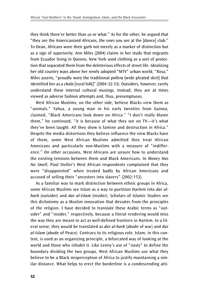they think there're better than us or what." As for the other, he argued that "they are the Americanized Africans, the ones you see at the [dance] club." To Dean, Africans wore their garb not merely as a marker of distinction but as a sign of superiority. Ann Miles (2004) claims in her study that migrants from Ecuador living in Queens, New York used clothing as a sort of protection that separated them from the deleterious effects of street life. Idealizing her old country ways above her newly adopted "MTV" urban world, "Rosa," Miles asserts, "proudly wore the traditional *pollera* [wide pleated skirt] that identified her as a *chola* [rural folk]" (2004:32-33). Outsiders, however, rarely understand these internal cultural musings. Instead, they are at times viewed as adverse fashion attempts and, thus, presumptuous.

West African Muslims, on the other side, believe Blacks view them as "animals." Yahya, a young man in his early twenties from Guinea, claimed, "Black Americans look down on Africa." "I don't really blame them," he continued, "it is because of what they see on TV—it's what they've been taught. All they show is famine and destruction in Africa." Despite the media distortions they believe influence the view Blacks have of them, some West African Muslims admitted they treat African Americans and particularly non-Muslims with a measure of "indifference." On other occasions, West Africans are unsure how to understand the existing tensions between them and Black Americans. In *Money Has No Smell*, Paul Stoller's West African respondents complained that they were "disappointed" when treated badly by African Americans and accused of selling their "ancestors into slavery" (2002:153).

As a familiar way to mark distinction between ethnic groups in Africa, some African Muslims see Islam as a way to partition Harlem into *dar alharb* (outsider) and *dar al-Islam* (insider). Scholars of Islamic Studies see this dichotomy as a Muslim innovation that deviates from the principles of the religion. I have decided to translate these Arabic terms as "outsider" and "insider," respectively, because a literal rendering would miss the way they are meant to act as well-defined frontiers in Harlem. In a literal sense, they would be translated as *dar al-harb* (abode of war) and *dar al-Islam* (abode of Peace). Contrary to its religious role, Islam, in this context, is used as an organizing principle, a bifurcated way of looking at the world and those who inhabit it. Like Lenny's use of "nasty" to define the boundary dividing the two groups, West African Muslims use what they believe to be a Black misperception of Africa to justify maintaining a similar distance. What helps to erect the borderline is a condescending atti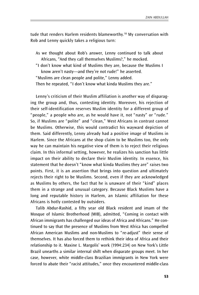tude that renders Harlem residents blameworthy.18 My conversation with Rob and Lenny quickly takes a religious turn:

As we thought about Rob's answer, Lenny continued to talk about Africans, "And they call themselves Muslims?," he mocked.

"I don't know what kind of Muslims they are, because the Muslims I know aren't nasty—and they're not rude!" he asserted.

"Muslims are clean people and polite," Lenny added.

Then he repeated, "I don't know what kinda Muslims they are."

Lenny's criticism of their Muslim affiliation is another way of disparaging the group and, thus, contesting identity. Moreover, his rejection of their self-identification reserves Muslim identity for a different group of "people," a people who are, as he would have it, not "nasty" or "rude." So, if Muslims are "polite" and "clean," West Africans in contrast cannot be Muslims. Otherwise, this would contradict his wayward depiction of them. Said differently, Lenny already had a positive image of Muslims in Harlem. Since the Africans at the shop claim to be Muslims too, the only way he can maintain his negative view of them is to reject their religious claim. In this informal setting, however, he realizes his sanction has little impact on their ability to declare their Muslim identity. In essence, his statement that he doesn't "know what kinda Muslims they are" raises two points. First, it is an assertion that brings into question and ultimately rejects their right to be Muslims. Second, even if they are acknowledged as Muslims by others, the fact that he is unaware of their "kind" places them in a strange and unusual category. Because Black Muslims have a long and reputable history in Harlem, an Islamic affiliation for these Africans is hotly contested by outsiders.

Talib Abdur-Rashid, a fifty year old Black resident and imam of the Mosque of Islamic Brotherhood (MIB), admitted, "Coming in contact with African immigrants has challenged our ideas of Africa and Africans." He continued to say that the presence of Muslims from West Africa has compelled African American Muslims and non-Muslims to "re-adjust" their sense of themselves. It has also forced them to rethink their idea of Africa and their relationship to it. Maxine L. Margolis' work (1994:234) on New York's Little Brazil unearths a similar internal shift when disparate groups meet. In her case, however, white middle-class Brazilian immigrants in New York were forced to abate their "racist attitudes," once they encountered middle-class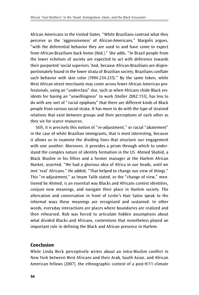African Americans in the United States. "White Brazilians contrast what they perceive as the 'aggressiveness' of African-Americans," Margolis argues, "with the deferential behavior they are used to and have come to expect from African-Brazilians back home (ibid.)." She adds, "In Brazil people from the lower echelons of society are expected to act with deference towards their purported 'social superiors.'And, because African-Brazilians are disproportionately found in the lower strata of Brazilian society, Brazilians conflate such behavior with skin color (1994:234-235)." By the same token, while West African street merchants may come across fewer African American professionals, using an "underclass" slur, such as when Africans chide Black residents for having an "unwillingness" to work (Stoller 2002:153), has less to do with any sort of "racial epiphany" that there are different kinds of Black people from various social strata. It has more to do with the type of strained relations that exist between groups and their perceptions of each other as they vie for scarce resources.

Still, it is precisely this notion of "re-adjustment," or racial "abatement" in the case of white Brazilian immigrants, that is most interesting, because it allows us to examine the dividing lines that structure our engagement with one another. Moreover, it provides a prism through which to understand the complex nature of identity formation in the US. Ahmed Shahid, a Black Muslim in his fifties and a former manager at the Harlem African Market, asserted, "We had a glorious idea of Africa in our heads, until we met 'real' Africans." He added, "That helped to change our view of things." This "re-adjustment," as Imam Talib stated, or the "change of view," mentioned by Ahmed, is an essential way Blacks and Africans contest identities, conjure new meanings, and navigate their place in Harlem society. The altercation and conversation in front of Leslie's Hair Salon speak to the informal ways these meanings are recognized and sustained. In other words, everyday interactions are places where boundaries are realized and then rehearsed. Rob was forced to articulate hidden assumptions about what divided Blacks and Africans, contentions that nonetheless played an important role in defining the Black and African presence in Harlem.

# **Conclusion**

While Linda Beck perceptively writes about an intra-Muslim conflict in New York between West Africans and their Arab, South Asian, and African American fellows (2007), the ethnographic context of a post-9/11 climate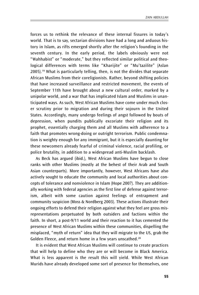forces us to rethink the relevance of these internal fissures in today's world. That is to say, sectarian divisions have had a long and arduous history in Islam, as rifts emerged shortly after the religion's founding in the seventh century. In the early period, the labels obviously were not "Wahhabist" or "moderate," but they reflected similar political and theological differences with terms like "Kharijite" or "Mu'tazilite" (Aslan 2005).19 What is particularly telling, then, is not the divides that separate African Muslims from their coreligionists. Rather, beyond shifting policies that have increased surveillance and restricted movement, the events of September 11th have brought about a new cultural order, marked by a unipolar world, and a war that has implicated Islam and Muslims in unanticipated ways. As such, West African Muslims have come under much closer scrutiny prior to migration and during their sojourn in the United States. Accordingly, many undergo feelings of angst followed by bouts of depression, when pundits publically excoriate their religion and its prophet, essentially charging them and all Muslims with adherence to a faith that promotes wrong-doing or outright terrorism. Public condemnation is weighty enough for any immigrant, but it is especially daunting for these newcomers already fearful of criminal violence, racial profiling, or police brutality, in addition to a widespread anti-Muslim backlash.

As Beck has argued (ibid.), West African Muslims have begun to close ranks with other Muslims (mostly at the behest of their Arab and South Asian counterparts). More importantly, however, West Africans have also actively sought to educate the community and local authorities about concepts of tolerance and nonviolence in Islam (Hope 2007). They are additionally working with federal agencies as the first line of defense against terrorism, albeit with some caution against feelings of entrapment and community suspicion (Moss & Nordberg 2003). These actions illustrate their ongoing efforts to defend their religion against what they feel are gross misrepresentations perpetuated by both outsiders and factions within the faith. In short, a post-9/11 world and their reaction to it has cemented the presence of West African Muslims within these communities, dispelling the misplaced, "myth of return" idea that they will migrate to the US, grab the Golden Fleece, and return home in a few years unscathed.<sup>20</sup>

It is evident that West African Muslims will continue to create practices that will help to define who they are or will become in Black America. What is less apparent is the result this will yield. While West African Murids have already developed some sort of presence for themselves, one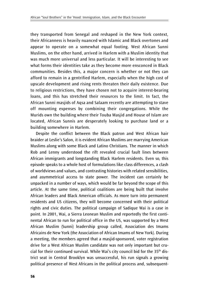they transported from Senegal and reshaped in the New York context, their Africanness is heavily nuanced with Islamic and Black overtones and appear to operate on a somewhat equal footing. West African Sunni Muslims, on the other hand, arrived in Harlem with a Muslim identity that was much more universal and less particular. It will be interesting to see what forms their identities take as they become more ensconced in Black communities. Besides this, a major concern is whether or not they can afford to remain in a gentrified Harlem, especially when the high cost of upscale development and rising rents threaten their daily existence. Due to religious restrictions, they have chosen not to acquire interest-bearing loans, and this has stretched their resources to the limit. In fact, the African Sunni masjids of Aqsa and Salaam recently are attempting to stave off mounting expenses by combining their congregations. While the Murids own the building where their Touba Masjid and House of Islam are located, African Sunnis are desperately looking to purchase land or a building somewhere in Harlem.

Despite the conflict between the Black patron and West African hair braider at Leslie's Salon, it is evident African Muslims are marrying American Muslims along with some Black and Latino Christians. The manner in which Rob and Lenny understood the rift revealed crucial fault lines between African immigrants and longstanding Black Harlem residents. Even so, this episode speaks to a whole host of formulations like class differences, a clash of worldviews and values, and contrasting histories with related sensibilities, and asymmetrical access to state power. The incident can certainly be unpacked in a number of ways, which would be far beyond the scope of this article. At the same time, political coalitions are being built that involve African leaders and Black American officials. As more turn into permanent residents and US citizens, they will become concerned with their political rights and civic duties. The political campaign of Sadique Wai is a case in point. In 2001, Wai, a Sierra Leonean Muslim and reportedly the first continental African to run for political office in the US, was supported by a West African Muslim (Sunni) leadership group called, Association des Imams Africains de New York (the Association of African Imams of New York). During a meeting, the members agreed that a masjid-sponsored, voter registration drive for a West African Muslim candidate was not only important but crucial for their continued survival. While Wai's city council bid for the 35th district seat in Central Brooklyn was unsuccessful, his run signals a growing political presence of West Africans in the political process and, subsequent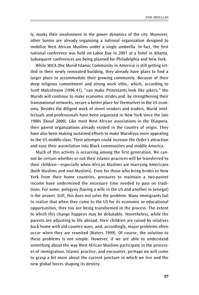ly, marks their involvement in the power dynamics of the city. Moreover, other Sunnis are already organizing a national organization designed to mobilize West African Muslims under a single umbrella. In fact, the first national conference was held on Labor Day in 2001 at a hotel in Atlanta. Subsequent conferences are being planned for Philadelphia and New York.

While MICA (the Murid Islamic Community in America) is still getting settled in their newly renovated building, they already have plans to find a larger place to accommodate their growing community. Because of their deep religious commitment and strong work ethic, which, according to Scott Malcolmson (1996:41), "can make Protestants look like pikers," the Murids will continue to make economic strides and, by strengthening their transnational networks, secure a better place for themselves in the US economy. Besides the diligent work of street vendors and traders, Murid intellectuals and professionals have been organized in New York since the late 1980s (Diouf 2000). Like most West African associations in the Diaspora, their parent organizations already existed in the country of origin. They have also been making sustained efforts to make Muridiyya more appealing to the US middle-class. Their attempts could increase the Order's attraction and ease their assimilation into Black communities and middle America.

Much of this activity is occurring among the first generation. We cannot be certain whether or not their Islamic practices will be transferred to their children—especially when African Muslims are marrying Americans (both Muslims and non-Muslims). Even for those who bring brides to New York from their home countries, pressures to maintain a two-parent income have undermined the necessary time needed to pass on traditions. For some, polygyny (having a wife in the US and another in Senegal) is the answer. Still, this does not solve the problem. Many immigrants fail to realize that when they come to the US for its economic or educational opportunities, they too are being transformed in the process. The extent to which this change happens may be debatable. Nonetheless, while the parents are adjusting to life abroad, their children are raised by relatives back home with old-country ways, and, accordingly, major problems often occur when they are reunited (Waters 1999). Of course, the solution to these problems is not simple. However, if we are able to understand something about the way West African Muslims participate in the processes of immigration, Islamic practice, and encounter, perhaps we will come to grasp a bit more about the current juncture in which we live and the new global forces shaping its destiny.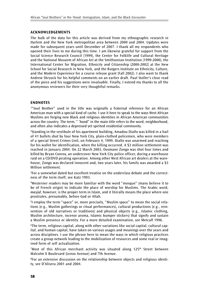#### **ACKNOWLEDGEMENTS**

The bulk of the data for this article was derived from my ethnographic research in Harlem and the New York metropolitan area between 2000 and 2004. Updates were made for subsequent years until December of 2007. I thank all my respondents who opened their lives to me during this time. I am likewise grateful for support from the Social Science Research Council (1999), the Center for Folklife and Cultural Heritage and the National Musuem of African Art at the Smithsonian Institution (1999-2000), the International Center for Migration, Ethnicity and Citizenship (2000-2002) at the New School for Social Research in New York, and the Rutgers Institute on Ethnicity, Culture, and the Modern Experience for a course release grant (Fall 2002). I also want to thank Andrew Shryock for his helpful comments on an earlier draft. Paul Stoller's close read of the piece and his suggestions were invaluable. Finally, I extend my thanks to all the anonymous reviewers for their very thoughtful remarks.

#### **ENDNOTES**

1 "Soul Brother" used in the title was originally a fraternal reference for an African American man with a special kind of cache. I use it here to speak to the ways West African Muslims are forging new Black and religious identities in African American communities across the country. The term, " 'hood" in the main title refers to the word, neighborhood, and often also indicates a depressed yet spirited residential community.

2 Standing in the vestibule of his apartment building, Amadou Diallo was killed in a hail of 41 bullets shot by four New York City, plain-clothed policemen, who were members of a special Street Crimes Unit, on February 4, 1999. Diallo was unarmed and reaching for his wallet for identification, when the killing occurred. A \$3 million settlement was reached in January 2004. On 22 March 2003, Ousmane Zongo was shot four times and killed by Bryan Conroy, an undercover New York City police officer, during a warehouse raid on a CD/DVD pirating operation. Among other West African art dealers at the warehouse, Zongo was declared innocent and, two years later, his family was awarded a \$3 Million settlement.

3 For a somewhat dated but excellent treatise on the underclass debate and the correctness of the term itself, see Katz 1993.

4 Westerner readers may be more familiar with the word "mosque" (many believe it to be of French origin) to indicate the place of worship for Muslims. The Arabic word, *masjid*, however, is the proper term in Islam, and it literally means the place where one prostrates, presumably, before God or Allah.

5 I employ the term "space" or, more precisely, "Muslim space" to mean the social relations (e.g., Muslim gatherings or ritual performances), cultural productions (e.g., reinvention of old narratives or traditions) and physical objects (e.g., Islamic clothing, Muslim architecture, incense aroma, Islamic bumper stickers) that signify and sustain a Muslim presence or identity. For a more detailed examination, see Metcalf 1996.

6 The term, religious capital, along with other variations like social capital, cultural capital, and human capital, have taken on various usages and meanings over the years and across disciplines. I use the phrase here to mean the ways in which religious practices create a group network leading to the mobilization of resources and some real or imagined form of self actualization.

7 Most of this African merchant activity was situated along 125th Street between Malcolm X Boulevard (Lenox Avenue) and 7th Avenue.

8 For an extensive discussion on the relationship between objects and religious identity, see D'Alisera 2001 and 2004.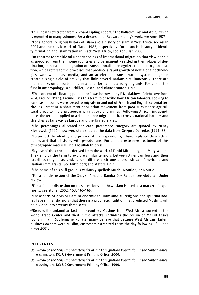9 This line was excerpted from Rudyard Kipling's poem, "The Ballad of East and West," which is reprinted in many volumes. For a discussion of Rudyard Kipling's work, see Amis 1975.

 $10$ For a general religious history of Islam and a history of Islam in West Africa, see Aslan 2005 and the classic work of Clarke 1982, respectively. For a concise history of identity formation and Islamization in Black West Africa, see Abdullah 2008.

 $11$ In contrast to traditional understandings of international migration that view people as uprooted from their home countries and permanently settled in their places of destination, transnational migration or transnationalism recognizes that due to globalization, which refers to the processes that produce a rapid growth of new global technologies, worldwide mass media, and an accelerated transportation system, migrants create a single field of activity that links several nations simultaneously. There are many books on all sorts of transnational formations among migrants. For one of the first in anthropology, see Schiller, Basch, and Blanc-Szanton 1992.

12The concept of "floating population" was borrowed by P.K. Makinwa-Adebusoye from W.M. Freund (1981). Freund uses this term to describe how African laborers, seeking to earn cash income, were forced to migrate in and out of French and English colonial territories—creating a short-term population movement from poor subsistence agricultural areas to more prosperous plantations and mines. Following African independence, the term is applied to a similar labor migration that crosses national borders and stretches as far away as Europe and the United States.

 $13$ The percentages allocated for each preference category are quoted by Nancy Kleniewski (1997); however, she extracted the data from Gregory Defreitas (1994: 33).

14To protect the identity and privacy of my respondents, I have replaced their actual names and that of stores with pseudonyms. For a more extensive treatment of this ethnographic material, see Abdullah In press.

15My use of the concept is derived from the work of David Mittelberg and Mary Waters. They employ the term to explore similar tensions between American Jews and their Israeli co-religionists and, under different circumstances, African Americans and Haitian immigrants. See Mittelberg and Waters 1992.

<sup>16</sup>The name of this Sufi group is variously spelled: Murid, Mouride, or Mourid.

17For a full discussion of the Shaykh Amadou Bamba Day Parade, see Abdullah Under review.

 $18$ For a similar discussion on these tensions and how Islam is used as a marker of superiority, see Stoller 2002: 153, 165-166.

19These sorts of divisions are so endemic to Islam (and all religions and spiritual bodies have similar divisions) that there is a prophetic tradition that predicted Muslims will be divided into seventy-three sects.

20Besides the unfamiliar fact that countless Muslims from West Africa worked at the World Trade Center and died in the attacks, including the cousin of Masjid Aqsa's Ivorian imam, Souleimane Konate, many believe that because West African Harlem business owners were Muslim, customers ostracized them the day following 9/11. See Pryce 2001.

#### **REFERENCES**

*US Bureau of the Census: Characteristics of the Foreign-Born Population in the United States*. Washington, DC: US Government Printing Office, 2000.

*US Bureau of the Census: Characteristics of the Foreign-Born Population in the United States*. Washington, DC: US Government Printing Office, 1990.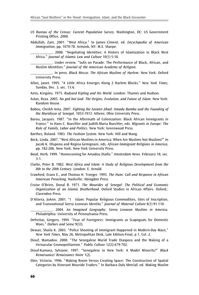- *US Bureau of the Census: Current Population Survey*. Washington, DC: US Government Printing Office, 2000.
- Abdullah, Zain. 2001. "West Africa." In James Ciment, ed. *Encyclopedia of American Immigration*, pp. 1070-78. Armonk, NY: M.E. Sharpe.

\_\_\_\_\_\_\_\_\_\_\_\_. 2008. "Negotiating Identities: A History of Islamization in Black West Africa." *Journal of Islamic Law and Culture* 10(1):5-18.

\_\_\_\_\_\_\_\_\_\_\_\_. Under review. "Sufis on Parade: The Performance of Black, African, and Muslim Identities." *Journal of the American Academy of Religion*.

\_\_\_\_\_\_\_\_\_\_\_\_. In press. *Black Mecca: The African Muslims of Harlem*. New York: Oxford University Press.

Allon, Janet. 1995. "A Little Africa Emerges Along 2 Harlem Blocks." *New York Times*, Sunday, Dec. 3, sec. 13:6.

Amis, Kingsley. 1975. *Rudyard Kipling and His World*. London: Thames and Hudson.

Aslan, Reza. 2005. *No god but God: The Origins, Evolution, and Future of Islam*. New York: Random House.

Babou, Cheikh Anta. 2007. *Fighting the Greater Jihad: Amadu Bamba and the Founding of the Muridiyya of Senegal, 1853-1913*. Athens: Ohio University Press.

- Barou, Jacques. 1987. "In the Aftermath of Colonization: Black African Immigrants in France." In Hans C. Buechler and Judith-Maria Buechler, eds. *Migrants in Europe: The Role of Family, Labor and Politics*. New York: Greenwood Press.
- Barthes, Roland. 1983. *The Fashion System*. New York: Hill and Wang.
- Beck, Linda. 2007. "West African Muslims in America: When Are Muslims Not Muslims?" In Jacob K. Olupona and Regina Gemignani, eds. *African Immigrant Religions in America*, pp. 182-206. New York: New York University Press.
- Boyd, Herb. 1999. "Homecoming for Amadou Diallo." *Amsterdam News*. February 18, sec. 3:1.
- Clarke, Peter B. 1982. *West Africa and Islam: A Study of Religious Development from the 8th to the 20th Century*. London: E. Arnold.
- Crawford, Evans E., and Thomas H. Troeger. 1995. *The Hum: Call and Response in African American Preaching*. Nashville: Abingdon Press.
- Cruise O'Brien, Donal B. 1971. *The Mourides of Senegal: The Political and Economic Organization of an Islamic Brotherhood*. Oxford Studies in African Affairs. Oxford,: Clarendon Press.
- D'Alisera, JoAnn. 2001. "I Islam: Popular Religious Commodities, Sites of Inscription, and Transnational Sierra Leonean Identity." *Journal of Material Culture* 6(1):91-110.

\_\_\_\_\_\_\_\_\_\_\_\_. 2004. *An Imagined Geography: Sierra Leonean Muslims in America*. Philadelphia: University of Pennsylvania Press.

- Defreitas, Gregory. 1994. "Fear of Foreigners: Immigrants as Scapegoats for Domestic Woes." *Dollars and Sense* 9(33).
- Dewan, Shaila K. 2003. "Police Shooting of Immigrant Happened in Modern-Day Maze," *New York Times*, May 26, Metropolitan Desk, Late Edition-Final, p 1, Col. 2.
- Diouf, Mamadou. 2000. "The Senegalese Murid Trade Diaspora and the Making of a Vernacular Cosmopolitanism." *Public Culture* 12(3):679-702.
- Diouf-Kamara, Sylviane. 1997. "Senegalese in New York: A Model Minority?" *Black Renaissance/ Renaissance Noire* 1(2).
- Ebin, Victoria. 1996. "Making Room Versus Creating Space: The Construction of Spatial Categories by Itinerant Mouride Traders." In Barbara Daly Metclaf, ed. *Making Muslim*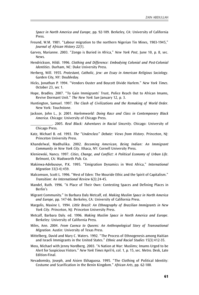*Space in North America and Europe*, pp. 92-109. Berkeley, CA: University of California Press.

- Freund, W.M. 1981. "Labour migration to the northern Nigerian Tin Mines, 1903-1945," *Journal of African History* 22(1).
- Garvey, Marianne. 2003. "Zongo is Buried in Africa," *New York Post*, June 10, p. 8, sec. News.
- Hendrickson, Hildi. 1996. *Clothing and Difference: Embodying Colonial and Post-Colonial Identities*. Durham, NC: Duke University Press.
- Herberg, Will. 1955. *Protestant, Catholic, Jew: an Essay in American Religious Sociology*. Garden City, NY: Doubleday.
- Hicks, Jonathan P. 1994. "Vendors Ouster and Boycott Divide Harlem." *New York Times*. October 23, sec 1.
- Hope, Bradley. 2007. "To Gain Immigrants' Trust, Police Reach Out to African Imams, Revive Dormant Unit." *The New York Sun* January 12, p. 3.
- Huntington, Samuel. 1997. *The Clash of Civilizations and the Remaking of World Order*. New York: Touchstone.

Jackson, John L., Jr. 2001. *Harlemworld: Doing Race and Class in Contemporary Black America*. Chicago: University of Chicago Press.

- \_\_\_\_\_\_\_\_\_\_\_\_. 2005. *Real Black: Adventures in Racial Sincerity*. Chicago: University of Chicago Press.
- Katz, Michael B. ed. 1993. *The "Underclass" Debate: Views from History*. Princeton, NJ: Princeton University Press.
- Khandelwal, Madhulika. 2002. *Becoming American, Being Indian: An Immigrant Community in New York City*. Ithaca, NY: Cornell University Press.
- Kleniewski, Nancy. 1997. *Cities, Change, and Conflict: A Political Economy of Urban Life*. Belmont, CA: Wadsworth Pub. Co.
- Makinwa-Adebusoye, P.K. 1995. "Emigration Dynamics in West Africa," *International Migration* 33(3-4):459.
- Malcomson, Scott L. 1996. "West of Eden: The Mouride Ethic and the Spirit of Capitalism." *Transition: An International Review* 6(3):24-45.
- Mandel, Ruth. 1996. "A Place of Their Own: Contesting Spaces and Defining Places in Berlin's
- Migrant Community." In Barbara Daly Metcalf, ed. *Making Muslim Space in North America and Europe*, pp. 147-66. Berkeley, CA: University of California Press.
- Margolis, Maxine L. 1994. *Little Brazil: An Ethnography of Brazilian Immigrants in New York City*. Princeton, NJ: Princeton University Press.
- Metcalf, Barbara Daly. ed. 1996. *Making Muslim Space in North America and Europe*. Berkeley: University of California Press.
- Miles, Ann. 2004. *From Cuenca to Queens: An Anthropological Story of Transnational Migration*. Austin: University of Texas Press.
- Mittelberg, David and Mary C. Waters. 1992. "The Process of Ethnogenesis among Haitian and Israeli Immigrants in the United States." *Ethnic and Racial Studies* 15(3):412-35.
- Moss, Michael with Jenny Nordberg. 2003. "A Nation at War: Muslims; Imams Urged to be Alert for Suspicious Vistors." *New York Times* April 6, col. 1, p. 15, sec. Metro. Desk, Late Edition-Final.
- Nevadomsky, Joseph, and Aisien Ekhaguosa. 1995. "The Clothing of Political Identity: Costume and Scarification in the Benin Kingdom." *African Arts*, pp. 62-100.